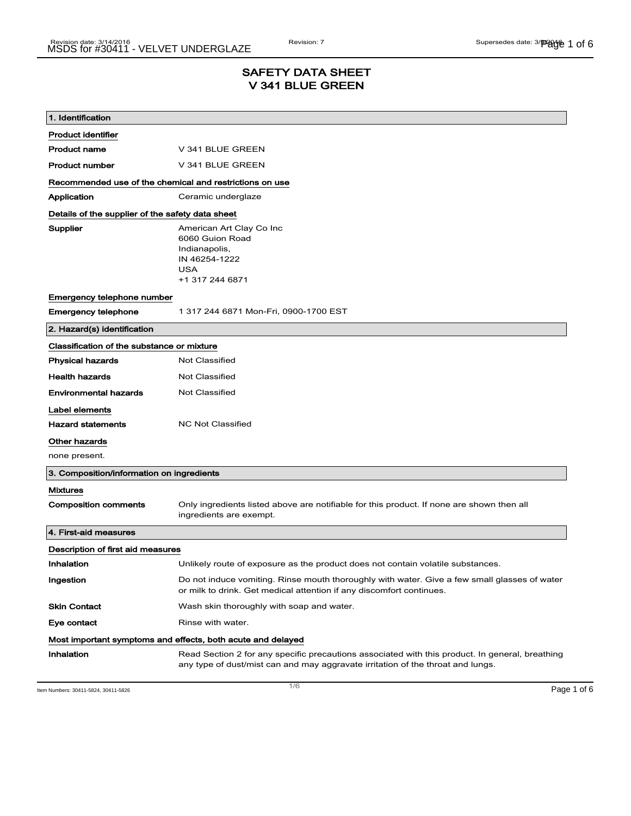# SAFETY DATA SHEET V 341 BLUE GREEN

| 1. Identification                                           |                                                                                                                                                                                    |  |
|-------------------------------------------------------------|------------------------------------------------------------------------------------------------------------------------------------------------------------------------------------|--|
| <b>Product identifier</b>                                   |                                                                                                                                                                                    |  |
| <b>Product name</b>                                         | V 341 BLUE GREEN                                                                                                                                                                   |  |
| <b>Product number</b>                                       | V 341 BLUE GREEN                                                                                                                                                                   |  |
| Recommended use of the chemical and restrictions on use     |                                                                                                                                                                                    |  |
| Application                                                 | Ceramic underglaze                                                                                                                                                                 |  |
| Details of the supplier of the safety data sheet            |                                                                                                                                                                                    |  |
| Supplier                                                    | American Art Clay Co Inc<br>6060 Guion Road<br>Indianapolis,<br>IN 46254-1222<br><b>USA</b><br>+1 317 244 6871                                                                     |  |
| Emergency telephone number                                  |                                                                                                                                                                                    |  |
| <b>Emergency telephone</b>                                  | 1 317 244 6871 Mon-Fri, 0900-1700 EST                                                                                                                                              |  |
| 2. Hazard(s) identification                                 |                                                                                                                                                                                    |  |
| Classification of the substance or mixture                  |                                                                                                                                                                                    |  |
| <b>Physical hazards</b>                                     | <b>Not Classified</b>                                                                                                                                                              |  |
| <b>Health hazards</b>                                       | Not Classified                                                                                                                                                                     |  |
| <b>Environmental hazards</b>                                | <b>Not Classified</b>                                                                                                                                                              |  |
| Label elements                                              |                                                                                                                                                                                    |  |
| <b>Hazard statements</b>                                    | <b>NC Not Classified</b>                                                                                                                                                           |  |
| Other hazards                                               |                                                                                                                                                                                    |  |
| none present.                                               |                                                                                                                                                                                    |  |
| 3. Composition/information on ingredients                   |                                                                                                                                                                                    |  |
| <b>Mixtures</b>                                             |                                                                                                                                                                                    |  |
| <b>Composition comments</b>                                 | Only ingredients listed above are notifiable for this product. If none are shown then all<br>ingredients are exempt.                                                               |  |
| 4. First-aid measures                                       |                                                                                                                                                                                    |  |
| Description of first aid measures                           |                                                                                                                                                                                    |  |
| Inhalation                                                  | Unlikely route of exposure as the product does not contain volatile substances.                                                                                                    |  |
| Ingestion                                                   | Do not induce vomiting. Rinse mouth thoroughly with water. Give a few small glasses of water<br>or milk to drink. Get medical attention if any discomfort continues.               |  |
| <b>Skin Contact</b>                                         | Wash skin thoroughly with soap and water.                                                                                                                                          |  |
| Eye contact                                                 | Rinse with water.                                                                                                                                                                  |  |
| Most important symptoms and effects, both acute and delayed |                                                                                                                                                                                    |  |
| Inhalation                                                  | Read Section 2 for any specific precautions associated with this product. In general, breathing<br>any type of dust/mist can and may aggravate irritation of the throat and lungs. |  |

Item Numbers: 30411-5824, 30411-5826 **Page 1 of 6**  $\overline{1/6}$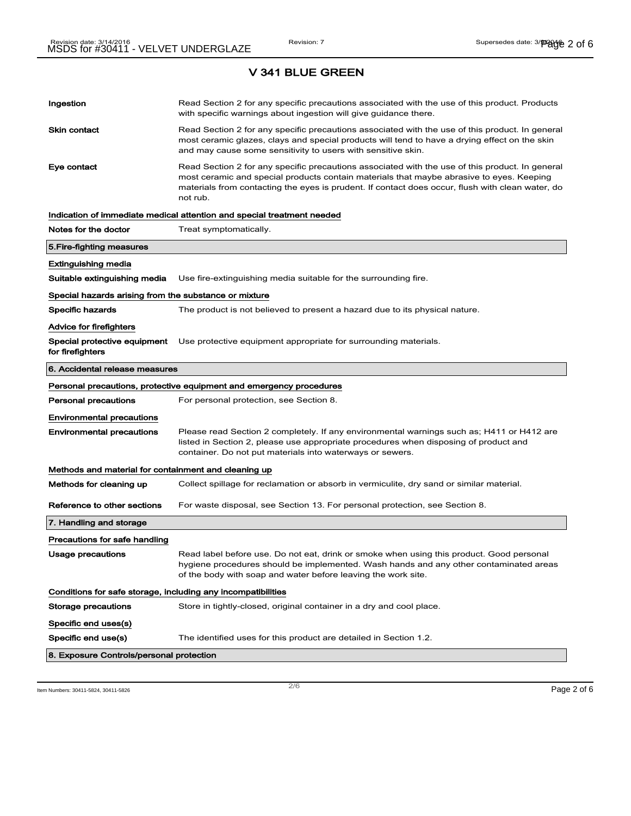V 341 BLUE GREEN

| Ingestion                                             | Read Section 2 for any specific precautions associated with the use of this product. Products<br>with specific warnings about ingestion will give guidance there.                                                                                                                                           |  |  |
|-------------------------------------------------------|-------------------------------------------------------------------------------------------------------------------------------------------------------------------------------------------------------------------------------------------------------------------------------------------------------------|--|--|
| Skin contact                                          | Read Section 2 for any specific precautions associated with the use of this product. In general<br>most ceramic glazes, clays and special products will tend to have a drying effect on the skin<br>and may cause some sensitivity to users with sensitive skin.                                            |  |  |
| Eye contact                                           | Read Section 2 for any specific precautions associated with the use of this product. In general<br>most ceramic and special products contain materials that maybe abrasive to eyes. Keeping<br>materials from contacting the eyes is prudent. If contact does occur, flush with clean water, do<br>not rub. |  |  |
|                                                       | Indication of immediate medical attention and special treatment needed                                                                                                                                                                                                                                      |  |  |
| Notes for the doctor                                  | Treat symptomatically.                                                                                                                                                                                                                                                                                      |  |  |
| 5. Fire-fighting measures                             |                                                                                                                                                                                                                                                                                                             |  |  |
| Extinguishing media                                   |                                                                                                                                                                                                                                                                                                             |  |  |
| Suitable extinguishing media                          | Use fire-extinguishing media suitable for the surrounding fire.                                                                                                                                                                                                                                             |  |  |
| Special hazards arising from the substance or mixture |                                                                                                                                                                                                                                                                                                             |  |  |
| <b>Specific hazards</b>                               | The product is not believed to present a hazard due to its physical nature.                                                                                                                                                                                                                                 |  |  |
| <b>Advice for firefighters</b>                        |                                                                                                                                                                                                                                                                                                             |  |  |
| Special protective equipment<br>for firefighters      | Use protective equipment appropriate for surrounding materials.                                                                                                                                                                                                                                             |  |  |
| 6. Accidental release measures                        |                                                                                                                                                                                                                                                                                                             |  |  |
|                                                       | Personal precautions, protective equipment and emergency procedures                                                                                                                                                                                                                                         |  |  |
| <b>Personal precautions</b>                           | For personal protection, see Section 8.                                                                                                                                                                                                                                                                     |  |  |
| <b>Environmental precautions</b>                      |                                                                                                                                                                                                                                                                                                             |  |  |
| <b>Environmental precautions</b>                      | Please read Section 2 completely. If any environmental warnings such as; H411 or H412 are<br>listed in Section 2, please use appropriate procedures when disposing of product and<br>container. Do not put materials into waterways or sewers.                                                              |  |  |
| Methods and material for containment and cleaning up  |                                                                                                                                                                                                                                                                                                             |  |  |
| Methods for cleaning up                               | Collect spillage for reclamation or absorb in vermiculite, dry sand or similar material.                                                                                                                                                                                                                    |  |  |
| Reference to other sections                           | For waste disposal, see Section 13. For personal protection, see Section 8.                                                                                                                                                                                                                                 |  |  |
| 7. Handling and storage                               |                                                                                                                                                                                                                                                                                                             |  |  |
| Precautions for safe handling                         |                                                                                                                                                                                                                                                                                                             |  |  |
| Usage precautions                                     | Read label before use. Do not eat, drink or smoke when using this product. Good personal<br>hygiene procedures should be implemented. Wash hands and any other contaminated areas<br>of the body with soap and water before leaving the work site.                                                          |  |  |
|                                                       | Conditions for safe storage, including any incompatibilities                                                                                                                                                                                                                                                |  |  |
| Storage precautions                                   | Store in tightly-closed, original container in a dry and cool place.                                                                                                                                                                                                                                        |  |  |
| Specific end uses(s)                                  |                                                                                                                                                                                                                                                                                                             |  |  |
| Specific end use(s)                                   | The identified uses for this product are detailed in Section 1.2.                                                                                                                                                                                                                                           |  |  |
| 8. Exposure Controls/personal protection              |                                                                                                                                                                                                                                                                                                             |  |  |

Item Numbers: 30411-5824, 30411-5826  $P$ age 2 of 6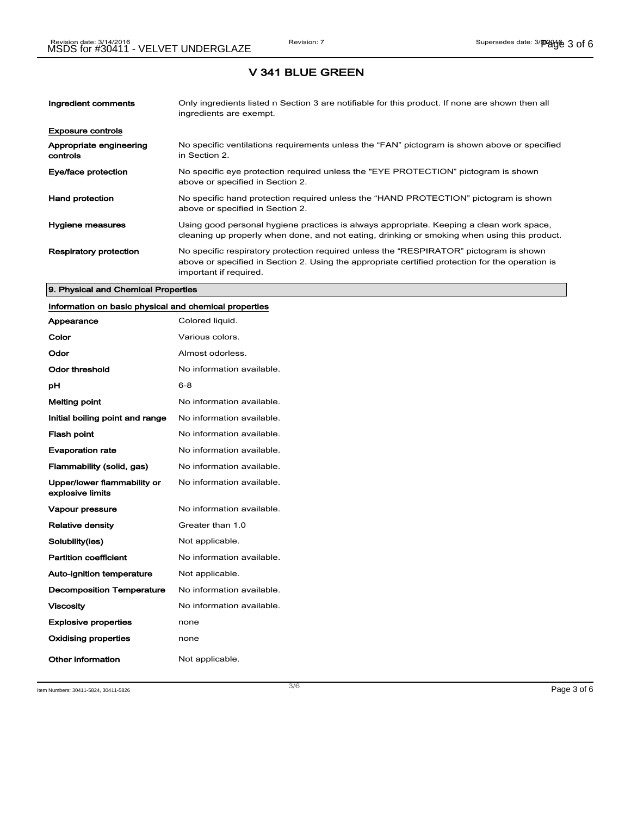### V 341 BLUE GREEN

| Ingredient comments                 | Only ingredients listed n Section 3 are notifiable for this product. If none are shown then all<br>ingredients are exempt.                                                                                           |
|-------------------------------------|----------------------------------------------------------------------------------------------------------------------------------------------------------------------------------------------------------------------|
| <b>Exposure controls</b>            |                                                                                                                                                                                                                      |
| Appropriate engineering<br>controls | No specific ventilations requirements unless the "FAN" pictogram is shown above or specified<br>in Section 2.                                                                                                        |
| Eye/face protection                 | No specific eye protection required unless the "EYE PROTECTION" pictogram is shown<br>above or specified in Section 2.                                                                                               |
| <b>Hand protection</b>              | No specific hand protection required unless the "HAND PROTECTION" pictogram is shown<br>above or specified in Section 2.                                                                                             |
| Hygiene measures                    | Using good personal hygiene practices is always appropriate. Keeping a clean work space,<br>cleaning up properly when done, and not eating, drinking or smoking when using this product.                             |
| <b>Respiratory protection</b>       | No specific respiratory protection required unless the "RESPIRATOR" pictogram is shown<br>above or specified in Section 2. Using the appropriate certified protection for the operation is<br>important if required. |

#### 9. Physical and Chemical Properties

# Information on basic physical and chemical properties

| Appearance                                      | Colored liquid.           |
|-------------------------------------------------|---------------------------|
| Color                                           | Various colors.           |
| Odor                                            | Almost odorless.          |
| Odor threshold                                  | No information available. |
| рH                                              | 6-8                       |
| Melting point                                   | No information available. |
| Initial boiling point and range                 | No information available. |
| <b>Flash point</b>                              | No information available. |
| <b>Evaporation rate</b>                         | No information available. |
| Flammability (solid, gas)                       | No information available. |
| Upper/lower flammability or<br>explosive limits | No information available. |
| Vapour pressure                                 | No information available. |
| <b>Relative density</b>                         | Greater than 1.0          |
| Solubility(ies)                                 | Not applicable.           |
| <b>Partition coefficient</b>                    | No information available. |
| <b>Auto-ignition temperature</b>                | Not applicable.           |
| <b>Decomposition Temperature</b>                | No information available. |
| <b>Viscosity</b>                                | No information available  |
| <b>Explosive properties</b>                     | none                      |
| <b>Oxidising properties</b>                     | none                      |
| Other information                               | Not applicable.           |

Item Numbers: 30411-5824, 30411-5826 Page 3 of 6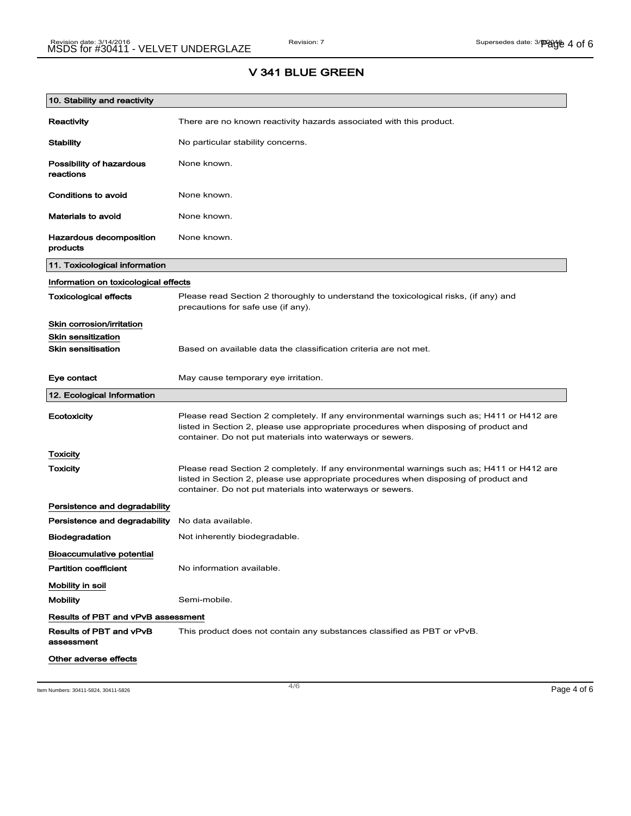### V 341 BLUE GREEN

| 10. Stability and reactivity          |                                                                                                                                                                                                                                                |  |
|---------------------------------------|------------------------------------------------------------------------------------------------------------------------------------------------------------------------------------------------------------------------------------------------|--|
| Reactivity                            | There are no known reactivity hazards associated with this product.                                                                                                                                                                            |  |
| <b>Stability</b>                      | No particular stability concerns.                                                                                                                                                                                                              |  |
| Possibility of hazardous<br>reactions | None known.                                                                                                                                                                                                                                    |  |
| Conditions to avoid                   | None known.                                                                                                                                                                                                                                    |  |
| <b>Materials to avoid</b>             | None known.                                                                                                                                                                                                                                    |  |
| Hazardous decomposition<br>products   | None known.                                                                                                                                                                                                                                    |  |
| 11. Toxicological information         |                                                                                                                                                                                                                                                |  |
| Information on toxicological effects  |                                                                                                                                                                                                                                                |  |
| <b>Toxicological effects</b>          | Please read Section 2 thoroughly to understand the toxicological risks, (if any) and<br>precautions for safe use (if any).                                                                                                                     |  |
| Skin corrosion/irritation             |                                                                                                                                                                                                                                                |  |
| <b>Skin sensitization</b>             |                                                                                                                                                                                                                                                |  |
| <b>Skin sensitisation</b>             | Based on available data the classification criteria are not met.                                                                                                                                                                               |  |
| Eye contact                           | May cause temporary eye irritation.                                                                                                                                                                                                            |  |
| 12. Ecological Information            |                                                                                                                                                                                                                                                |  |
| Ecotoxicity                           | Please read Section 2 completely. If any environmental warnings such as; H411 or H412 are<br>listed in Section 2, please use appropriate procedures when disposing of product and<br>container. Do not put materials into waterways or sewers. |  |
| <b>Toxicity</b>                       |                                                                                                                                                                                                                                                |  |
| Toxicity                              | Please read Section 2 completely. If any environmental warnings such as; H411 or H412 are<br>listed in Section 2, please use appropriate procedures when disposing of product and<br>container. Do not put materials into waterways or sewers. |  |
| Persistence and degradability         |                                                                                                                                                                                                                                                |  |
| Persistence and degradability         | No data available.                                                                                                                                                                                                                             |  |
| <b>Biodegradation</b>                 | Not inherently biodegradable.                                                                                                                                                                                                                  |  |
| <b>Bioaccumulative potential</b>      |                                                                                                                                                                                                                                                |  |
| <b>Partition coefficient</b>          | No information available.                                                                                                                                                                                                                      |  |
| Mobility in soil                      |                                                                                                                                                                                                                                                |  |
| <b>Mobility</b>                       | Semi-mobile.                                                                                                                                                                                                                                   |  |
|                                       | <b>Results of PBT and vPvB assessment</b>                                                                                                                                                                                                      |  |
| Results of PBT and vPvB<br>assessment | This product does not contain any substances classified as PBT or vPvB.                                                                                                                                                                        |  |
| Other adverse effects                 |                                                                                                                                                                                                                                                |  |

Item Numbers: 30411-5824, 30411-5826  $\overline{4/6}$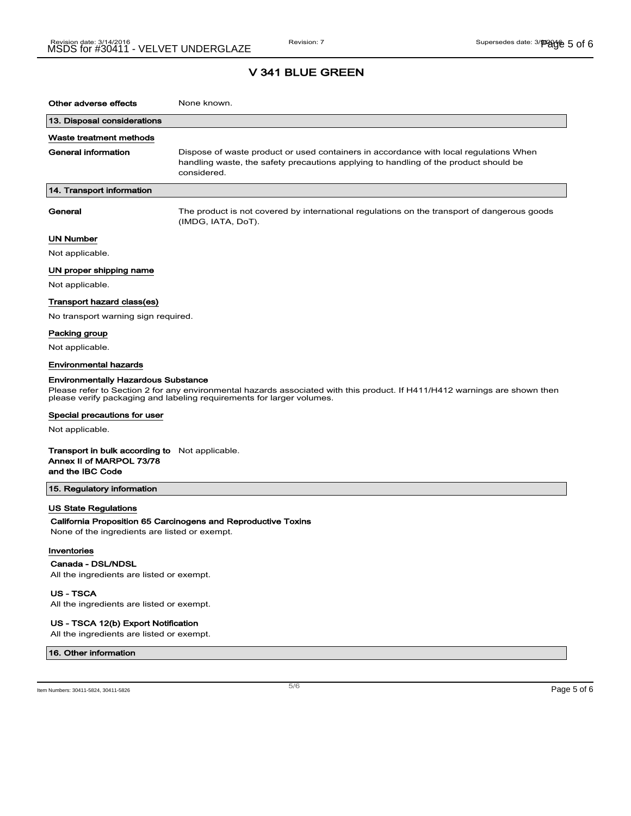# V 341 BLUE GREEN

| Other adverse effects                                                                                                                                                                                                                             | None known.                                                                                                                                                                                  |  |
|---------------------------------------------------------------------------------------------------------------------------------------------------------------------------------------------------------------------------------------------------|----------------------------------------------------------------------------------------------------------------------------------------------------------------------------------------------|--|
| 13. Disposal considerations                                                                                                                                                                                                                       |                                                                                                                                                                                              |  |
| Waste treatment methods                                                                                                                                                                                                                           |                                                                                                                                                                                              |  |
| <b>General information</b>                                                                                                                                                                                                                        | Dispose of waste product or used containers in accordance with local regulations When<br>handling waste, the safety precautions applying to handling of the product should be<br>considered. |  |
| 14. Transport information                                                                                                                                                                                                                         |                                                                                                                                                                                              |  |
| General                                                                                                                                                                                                                                           | The product is not covered by international regulations on the transport of dangerous goods<br>(IMDG, IATA, DoT).                                                                            |  |
| <b>UN Number</b>                                                                                                                                                                                                                                  |                                                                                                                                                                                              |  |
| Not applicable.                                                                                                                                                                                                                                   |                                                                                                                                                                                              |  |
| UN proper shipping name                                                                                                                                                                                                                           |                                                                                                                                                                                              |  |
| Not applicable.                                                                                                                                                                                                                                   |                                                                                                                                                                                              |  |
| Transport hazard class(es)                                                                                                                                                                                                                        |                                                                                                                                                                                              |  |
| No transport warning sign required.                                                                                                                                                                                                               |                                                                                                                                                                                              |  |
| Packing group                                                                                                                                                                                                                                     |                                                                                                                                                                                              |  |
| Not applicable.                                                                                                                                                                                                                                   |                                                                                                                                                                                              |  |
| Environmental hazards                                                                                                                                                                                                                             |                                                                                                                                                                                              |  |
| <b>Environmentally Hazardous Substance</b><br>Please refer to Section 2 for any environmental hazards associated with this product. If H411/H412 warnings are shown then<br>please verify packaging and labeling requirements for larger volumes. |                                                                                                                                                                                              |  |
| Special precautions for user                                                                                                                                                                                                                      |                                                                                                                                                                                              |  |
| Not applicable.                                                                                                                                                                                                                                   |                                                                                                                                                                                              |  |
| <b>Transport in bulk according to</b> Not applicable.<br>Annex II of MARPOL 73/78<br>and the IBC Code                                                                                                                                             |                                                                                                                                                                                              |  |
| 15. Regulatory information                                                                                                                                                                                                                        |                                                                                                                                                                                              |  |
| <b>US State Regulations</b><br>None of the ingredients are listed or exempt.                                                                                                                                                                      | California Proposition 65 Carcinogens and Reproductive Toxins                                                                                                                                |  |
| Inventories<br>Canada - DSL/NDSL                                                                                                                                                                                                                  |                                                                                                                                                                                              |  |
| All the ingredients are listed or exempt.                                                                                                                                                                                                         |                                                                                                                                                                                              |  |

US - TSCA

All the ingredients are listed or exempt.

#### US - TSCA 12(b) Export Notification

All the ingredients are listed or exempt.

### 16. Other information